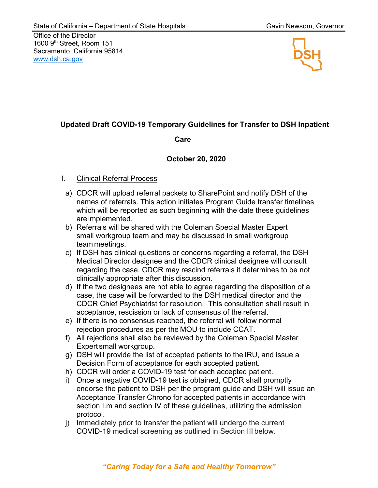Office of the Director 1600 9th Street, Room 151 Sacramento, California 95814 [www.dsh.ca.gov](https:\\www.dsh.ca.gov) www.dsh.ca.gov



# **Updated Draft COVID-19 Temporary Guidelines for Transfer to DSH Inpatient**

#### **Care**

## **October 20, 2020**

#### I. Clinical Referral Process

- a) CDCR will upload referral packets to SharePoint and notify DSH of the names of referrals. This action initiates Program Guide transfer timelines which will be reported as such beginning with the date these guidelines areimplemented.
- b) Referrals will be shared with the Coleman Special Master Expert small workgroup team and may be discussed in small workgroup team meetings.
- c) If DSH has clinical questions or concerns regarding a referral, the DSH Medical Director designee and the CDCR clinical designee will consult regarding the case. CDCR may rescind referrals it determines to be not clinically appropriate after this discussion.
- d) If the two designees are not able to agree regarding the disposition of a case, the case will be forwarded to the DSH medical director and the CDCR Chief Psychiatrist for resolution. This consultation shall result in acceptance, rescission or lack of consensus of the referral.
- e) If there is no consensus reached, the referral will follow normal rejection procedures as per the MOU to include CCAT.
- f) All rejections shall also be reviewed by the Coleman Special Master Expert small workgroup.
- g) DSH will provide the list of accepted patients to the IRU, and issue a Decision Form of acceptance for each accepted patient.
- h) CDCR will order a COVID-19 test for each accepted patient.
- i) Once a negative COVID-19 test is obtained, CDCR shall promptly endorse the patient to DSH per the program guide and DSH will issue an Acceptance Transfer Chrono for accepted patients in accordance with section I.m and section IV of these guidelines, utilizing the admission protocol.
- j) Immediately prior to transfer the patient will undergo the current COVID-19 medical screening as outlined in Section III below.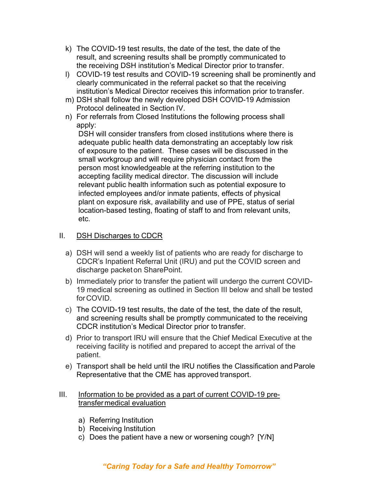- k) The COVID-19 test results, the date of the test, the date of the result, and screening results shall be promptly communicated to the receiving DSH institution's Medical Director prior to transfer.
- l) COVID-19 test results and COVID-19 screening shall be prominently and clearly communicated in the referral packet so that the receiving institution's Medical Director receives this information prior to transfer.
- m) DSH shall follow the newly developed DSH COVID-19 Admission Protocol delineated in Section IV.
- n) For referrals from Closed Institutions the following process shall apply:

DSH will consider transfers from closed institutions where there is adequate public health data demonstrating an acceptably low risk of exposure to the patient. These cases will be discussed in the small workgroup and will require physician contact from the person most knowledgeable at the referring institution to the accepting facility medical director. The discussion will include relevant public health information such as potential exposure to infected employees and/or inmate patients, effects of physical plant on exposure risk, availability and use of PPE, status of serial location-based testing, floating of staff to and from relevant units, etc.

## II. DSH Discharges to CDCR

- a) DSH will send a weekly list of patients who are ready for discharge to CDCR's Inpatient Referral Unit (IRU) and put the COVID screen and discharge packet on SharePoint.
- b) Immediately prior to transfer the patient will undergo the current COVID-19 medical screening as outlined in Section III below and shall be tested forCOVID.
- c) The COVID-19 test results, the date of the test, the date of the result, and screening results shall be promptly communicated to the receiving CDCR institution's Medical Director prior to transfer.
- d) Prior to transport IRU will ensure that the Chief Medical Executive at the receiving facility is notified and prepared to accept the arrival of the patient.
- e) Transport shall be held until the IRU notifies the Classification andParole Representative that the CME has approved transport.
- III. Information to be provided as a part of current COVID-19 pretransfermedical evaluation
	- a) Referring Institution
	- b) Receiving Institution
	- c) Does the patient have a new or worsening cough? [Y/N]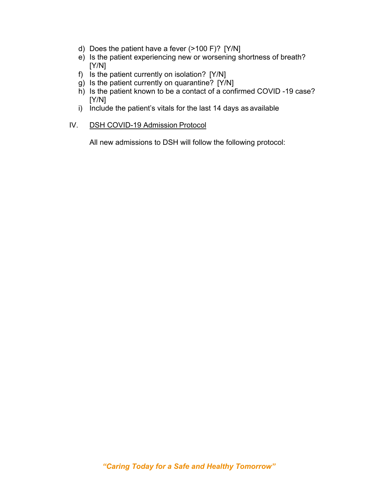- d) Does the patient have a fever (>100 F)? [Y/N]
- e) Is the patient experiencing new or worsening shortness of breath? [Y/N]
- f) Is the patient currently on isolation? [Y/N]
- g) Is the patient currently on quarantine? [Y/N]
- h) Is the patient known to be a contact of a confirmed COVID -19 case? [Y/N]
- i) Include the patient's vitals for the last 14 days as available

### IV. DSH COVID-19 Admission Protocol

All new admissions to DSH will follow the following protocol: